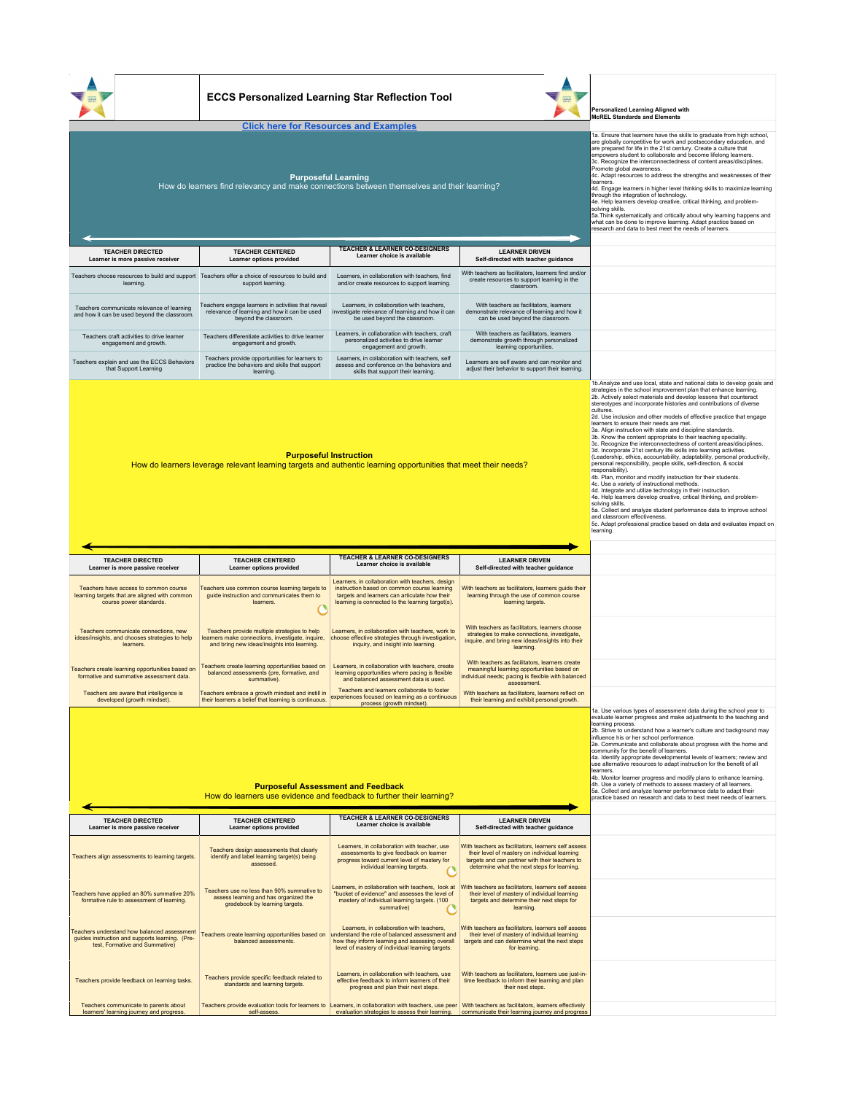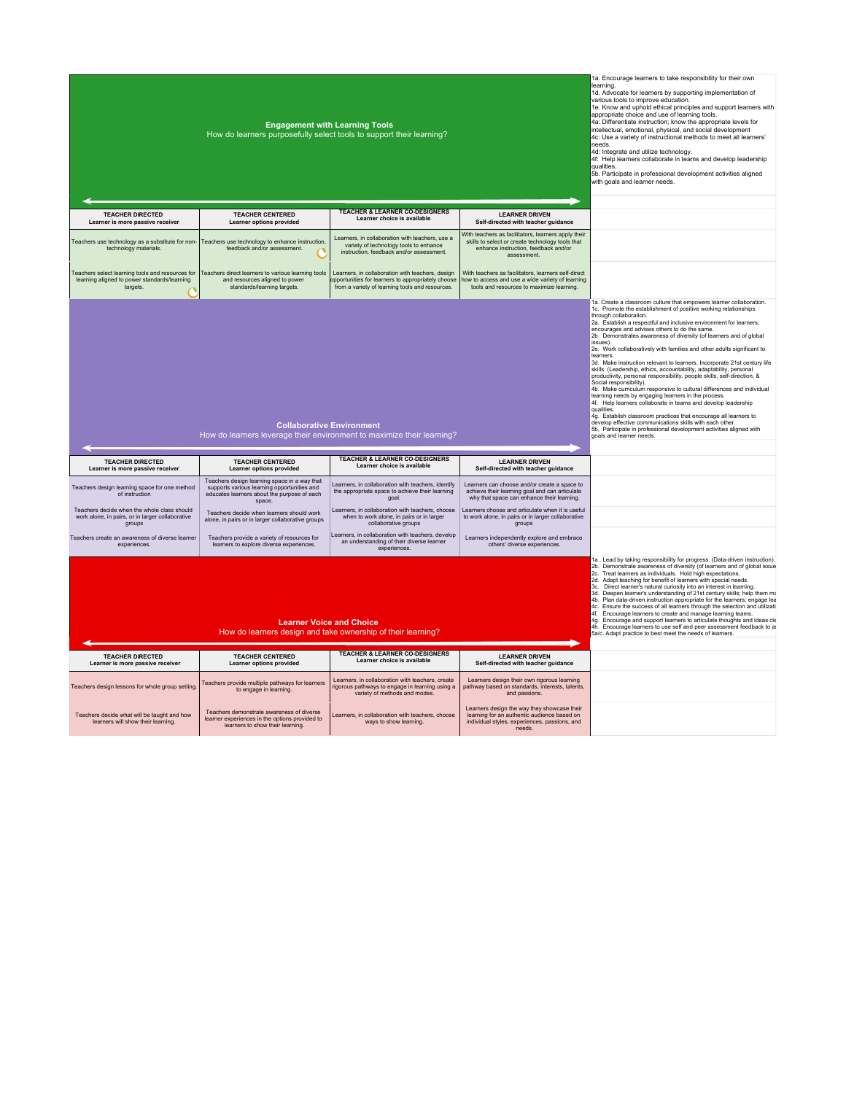|                                                                                                             | How do learners purposefully select tools to support their learning?                                                                                | <b>Engagement with Learning Tools</b>                                                                                                                     |                                                                                                                                                               | 1a. Encourage learners to take responsibility for their own<br>learning.<br>1d. Advocate for learners by supporting implementation of<br>various tools to improve education.<br>1e. Know and uphold ethical principles and support learners with<br>appropriate choice and use of learning tools.<br>4a: Differentiate instruction; know the appropriate levels for<br>intellectual, emotional, physical, and social development<br>4c: Use a variety of instructional methods to meet all learners'<br>needs.<br>4d: Integrate and utilize technology.<br>4f: Help learners collaborate in teams and develop leadership<br>qualities.<br>5b. Participate in professional development activities aligned<br>with goals and learner needs.                                                                                                                                          |
|-------------------------------------------------------------------------------------------------------------|-----------------------------------------------------------------------------------------------------------------------------------------------------|-----------------------------------------------------------------------------------------------------------------------------------------------------------|---------------------------------------------------------------------------------------------------------------------------------------------------------------|------------------------------------------------------------------------------------------------------------------------------------------------------------------------------------------------------------------------------------------------------------------------------------------------------------------------------------------------------------------------------------------------------------------------------------------------------------------------------------------------------------------------------------------------------------------------------------------------------------------------------------------------------------------------------------------------------------------------------------------------------------------------------------------------------------------------------------------------------------------------------------|
| <b>TEACHER DIRECTED</b><br>Learner is more passive receiver                                                 | <b>TEACHER CENTERED</b><br>Learner options provided                                                                                                 | TEACHER & LEARNER CO-DESIGNERS<br>Learner choice is available                                                                                             | <b>LEARNER DRIVEN</b><br>Self-directed with teacher guidance                                                                                                  |                                                                                                                                                                                                                                                                                                                                                                                                                                                                                                                                                                                                                                                                                                                                                                                                                                                                                    |
| technology materials.                                                                                       | Teachers use technology as a substitute for non- Teachers use technology to enhance instruction,<br>feedback and/or assessment                      | Learners, in collaboration with teachers, use a<br>variety of technology tools to enhance<br>instruction, feedback and/or assessment.                     | With teachers as facilitators, learners apply their<br>skills to select or create technology tools that<br>enhance instruction, feedback and/or<br>assessment |                                                                                                                                                                                                                                                                                                                                                                                                                                                                                                                                                                                                                                                                                                                                                                                                                                                                                    |
| Teachers select learning tools and resources for<br>learning aligned to power standards/learning<br>targets | Teachers direct learners to various learning tools<br>and resources aligned to power<br>standards/learning targets.                                 | Learners, in collaboration with teachers, design<br>opportunities for learners to appropriately choose<br>from a variety of learning tools and resources. | With teachers as facilitators, learners self-direct<br>how to access and use a wide variety of learning<br>tools and resources to maximize learning.          |                                                                                                                                                                                                                                                                                                                                                                                                                                                                                                                                                                                                                                                                                                                                                                                                                                                                                    |
|                                                                                                             |                                                                                                                                                     |                                                                                                                                                           |                                                                                                                                                               | through collaboration.<br>2a. Establish a respectful and inclusive environment for learners;<br>encourages and advises others to do the same.<br>2b Demonstrates awareness of diversity (of learners and of global<br>issues).<br>2e. Work collaboratively with families and other adults significant to<br>learners.<br>3d. Make instruction relevant to learners. Incorporate 21st century life                                                                                                                                                                                                                                                                                                                                                                                                                                                                                  |
|                                                                                                             |                                                                                                                                                     | <b>Collaborative Environment</b><br>How do learners leverage their environment to maximize their learning?                                                |                                                                                                                                                               | skills. (Leadership, ethics, accountability, adaptability, personal<br>productivity, personal responsibility, people skills, self-direction, &<br>Social responsibility).<br>4b. Make curriculum responsive to cultural differences and individual<br>learning needs by engaging learners in the process.<br>4f. Help learners collaborate in teams and develop leadership<br>qualities.<br>4g. Establish classroom practices that encourage all learners to<br>develop effective communications skills with each other.<br>5b. Participate in professional development activities aligned with<br>goals and learner needs                                                                                                                                                                                                                                                         |
| <b>TEACHER DIRECTED</b><br>Learner is more passive receiver                                                 | <b>TEACHER CENTERED</b><br><b>Learner options provided</b>                                                                                          | <b>TEACHER &amp; LEARNER CO-DESIGNERS</b><br>Learner choice is available                                                                                  | <b>LEARNER DRIVEN</b><br>Self-directed with teacher guidance                                                                                                  |                                                                                                                                                                                                                                                                                                                                                                                                                                                                                                                                                                                                                                                                                                                                                                                                                                                                                    |
| Teachers design learning space for one method<br>of instruction                                             | Teachers design learning space in a way that<br>supports various learning opportunities and<br>educates learners about the purpose of each<br>space | Learners, in collaboration with teachers, identify<br>the appropriate space to achieve their learning<br>goal                                             | Learners can choose and/or create a space to<br>achieve their learning goal and can articulate<br>why that space can enhance their learning.                  |                                                                                                                                                                                                                                                                                                                                                                                                                                                                                                                                                                                                                                                                                                                                                                                                                                                                                    |
| Teachers decide when the whole class should<br>work alone, in pairs, or in larger collaborative<br>groups   | Teachers decide when learners should work<br>alone, in pairs or in larger collaborative groups                                                      | Learners, in collaboration with teachers, choose<br>when to work alone, in pairs or in larger<br>collaborative groups                                     | Learners choose and articulate when it is useful<br>to work alone, in pairs or in larger collaborative<br>groups                                              |                                                                                                                                                                                                                                                                                                                                                                                                                                                                                                                                                                                                                                                                                                                                                                                                                                                                                    |
| Teachers create an awareness of diverse learner<br>experiences                                              | Teachers provide a variety of resources for<br>learners to explore diverse experiences.                                                             | Learners, in collaboration with teachers, develop<br>an understanding of their diverse learner<br>experiences.                                            | Learners independently explore and embrace<br>others' diverse experiences.                                                                                    |                                                                                                                                                                                                                                                                                                                                                                                                                                                                                                                                                                                                                                                                                                                                                                                                                                                                                    |
|                                                                                                             |                                                                                                                                                     | <b>Learner Voice and Choice</b><br>How do learners design and take ownership of their learning?                                                           |                                                                                                                                                               | 1a . Lead by taking responsibility for progress. (Data-driven instruction).<br>2b. Demonstrate awareness of diversity (of learners and of global issue<br>2c. Treat learners as individuals. Hold high expectations.<br>2d. Adapt teaching for benefit of learners with special needs.<br>3c. Direct learner's natural curiosity into an interest in learning.<br>3d. Deepen learner's understanding of 21st century skills; help them ma<br>4b. Plan data-driven instruction appropriate for the learners; engage lea<br>4c. Ensure the success of all learners through the selection and utilizati<br>4f. Encourage learners to create and manage learning teams.<br>4g. Encourage and support learners to articulate thoughts and ideas cle<br>4h. Encourage learners to use self and peer assessment feedback to a<br>5a/c. Adapt practice to best meet the needs of learners. |
| <b>TEACHER DIRECTED</b><br>Learner is more passive receiver                                                 | <b>TEACHER CENTERED</b><br>Learner options provided                                                                                                 | <b>TEACHER &amp; LEARNER CO-DESIGNERS</b><br>Learner choice is available                                                                                  | <b>LEARNER DRIVEN</b><br>Self-directed with teacher guidance                                                                                                  |                                                                                                                                                                                                                                                                                                                                                                                                                                                                                                                                                                                                                                                                                                                                                                                                                                                                                    |

Teachers demonstrate awareness of diverse<br>Teachers diverse and the published to the preference in the options provided to learning.<br>International of the preferences in the options provided to learning.<br>Internations the pre